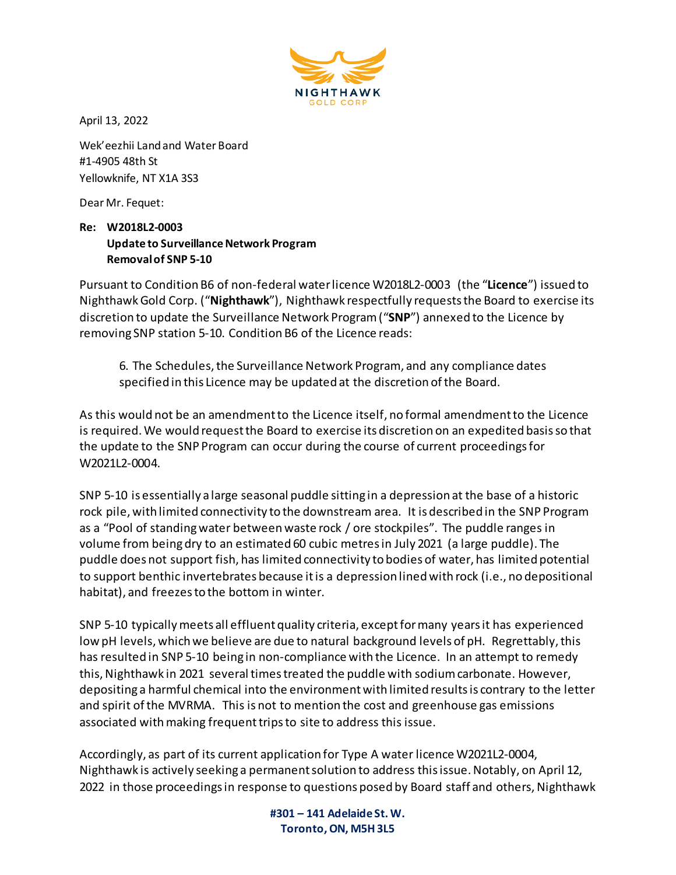

April 13, 2022

Wek'eezhii Land and Water Board #1-4905 48th St Yellowknife, NT X1A 3S3

Dear Mr. Fequet:

## **Re: W2018L2-0003 Update to Surveillance Network Program Removal of SNP 5-10**

Pursuant to Condition B6 of non-federal water licence W2018L2-0003 (the "**Licence**") issued to Nighthawk Gold Corp. ("**Nighthawk**"), Nighthawk respectfully requests the Board to exercise its discretion to update the Surveillance Network Program ("**SNP**") annexed to the Licence by removing SNP station 5-10. Condition B6 of the Licence reads:

6. The Schedules, the Surveillance Network Program, and any compliance dates specified in this Licence may be updated at the discretion of the Board.

As this would not be an amendment to the Licence itself, no formal amendment to the Licence is required. We would request the Board to exercise its discretion on an expedited basis so that the update to the SNP Program can occur during the course of current proceedings for W2021L2-0004.

SNP 5-10 is essentially a large seasonal puddle sitting in a depression at the base of a historic rock pile, with limited connectivity to the downstream area. It is described in the SNP Program as a "Pool of standing water between waste rock / ore stockpiles". The puddle ranges in volume from being dry to an estimated 60 cubic metres in July 2021 (a large puddle). The puddle does not support fish, has limited connectivity to bodies of water, has limited potential to support benthic invertebrates because it is a depression lined with rock (i.e., no depositional habitat), and freezes to the bottom in winter.

SNP 5-10 typically meets all effluent quality criteria, except for many years it has experienced low pH levels, which we believe are due to natural background levels of pH. Regrettably, this has resulted in SNP 5-10 being in non-compliance with the Licence. In an attempt to remedy this, Nighthawk in 2021 several times treated the puddle with sodium carbonate. However, depositing a harmful chemical into the environment with limited results is contrary to the letter and spirit of the MVRMA. This is not to mention the cost and greenhouse gas emissions associated with making frequent trips to site to address this issue.

Accordingly, as part of its current application for Type A water licence W2021L2-0004, Nighthawk is actively seeking a permanent solution to address this issue. Notably, on April 12, 2022 in those proceedings in response to questions posed by Board staff and others, Nighthawk

> **#301 – 141 Adelaide St. W. Toronto, ON, M5H 3L5**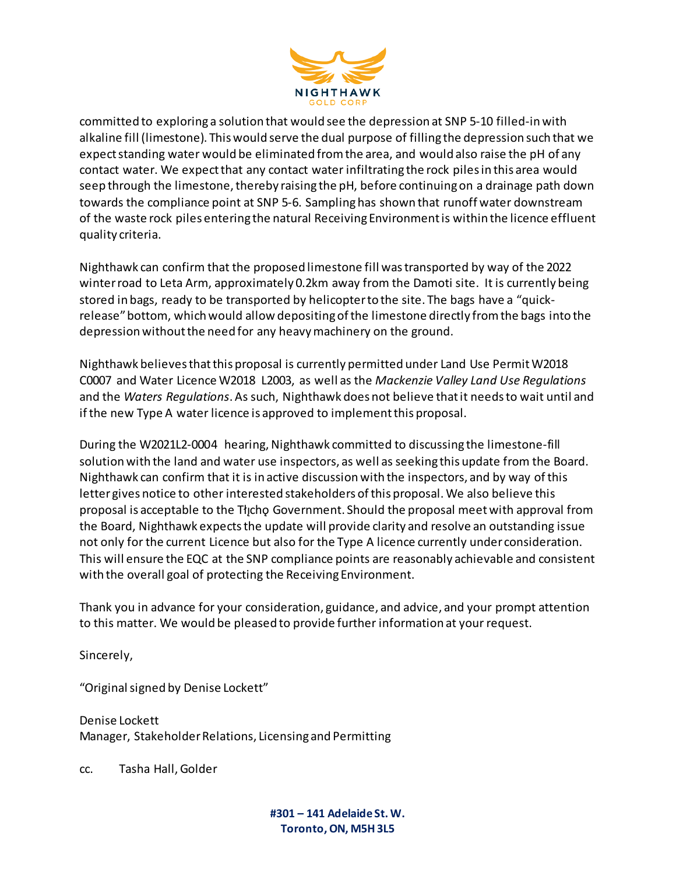

committed to exploring a solution that would see the depression at SNP 5-10 filled-in with alkaline fill (limestone). This would serve the dual purpose of filling the depression such that we expect standing water would be eliminated from the area, and would also raise the pH of any contact water. We expect that any contact water infiltrating the rock piles in this area would seep through the limestone, thereby raising the pH, before continuing on a drainage path down towards the compliance point at SNP 5-6. Sampling has shown that runoff water downstream of the waste rock piles entering the natural Receiving Environment is within the licence effluent quality criteria.

Nighthawk can confirm that the proposed limestone fill was transported by way of the 2022 winter road to Leta Arm, approximately 0.2km away from the Damoti site. It is currently being stored in bags, ready to be transported by helicopter to the site. The bags have a "quickrelease" bottom, which would allow depositing of the limestone directly from the bags into the depression without the need for any heavy machinery on the ground.

Nighthawk believes that this proposal is currently permitted under Land Use Permit W2018 C0007 and Water Licence W2018 L2003, as well as the *Mackenzie Valley Land Use Regulations* and the *Waters Regulations*. As such, Nighthawk does not believe that it needs to wait until and if the new Type A water licence is approved to implement this proposal.

During the W2021L2-0004 hearing, Nighthawk committed to discussing the limestone-fill solution with the land and water use inspectors, as well as seeking this update from the Board. Nighthawk can confirm that it is in active discussion with the inspectors, and by way of this letter gives notice to other interested stakeholders of this proposal. We also believe this proposal is acceptable to the Tłycho Government. Should the proposal meet with approval from the Board, Nighthawk expects the update will provide clarity and resolve an outstanding issue not only for the current Licence but also for the Type A licence currently under consideration. This will ensure the EQC at the SNP compliance points are reasonably achievable and consistent with the overall goal of protecting the Receiving Environment.

Thank you in advance for your consideration, guidance, and advice, and your prompt attention to this matter. We would be pleased to provide further information at your request.

Sincerely,

"Original signed by Denise Lockett"

Denise Lockett Manager, Stakeholder Relations, Licensing and Permitting

cc. Tasha Hall, Golder

**#301 – 141 Adelaide St. W. Toronto, ON, M5H 3L5**